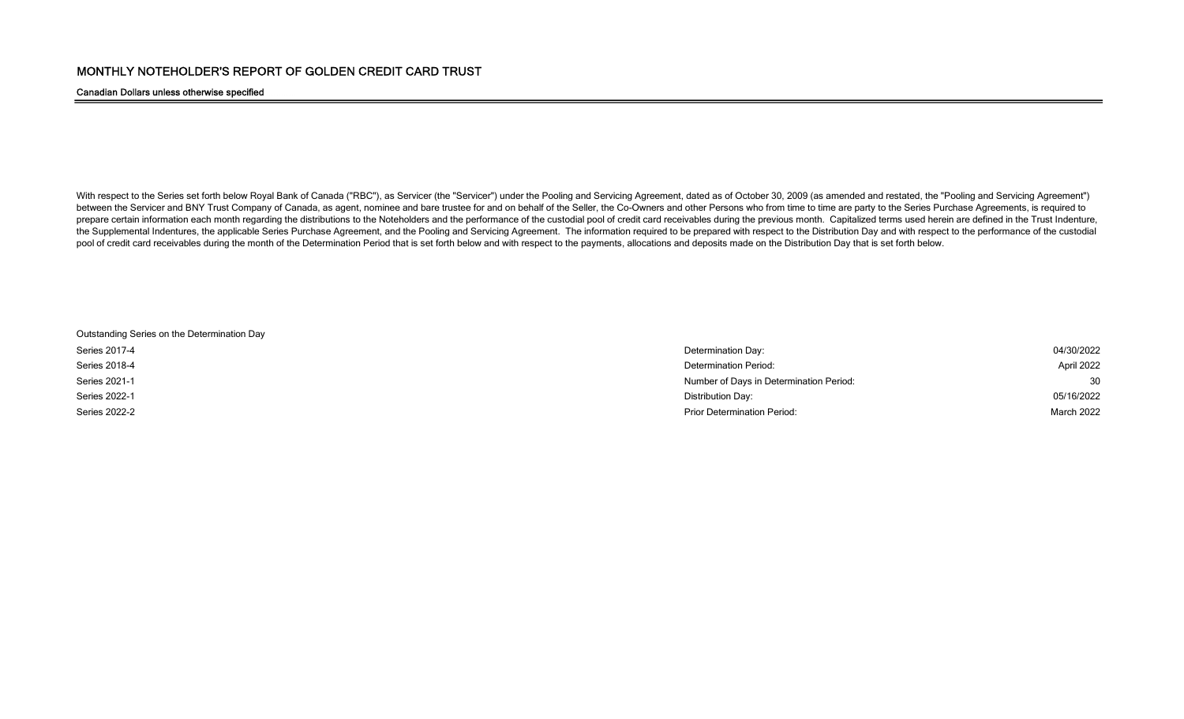## Canadian Dollars unless otherwise specified

With respect to the Series set forth below Royal Bank of Canada ("RBC"), as Servicer (the "Servicer") under the Pooling and Servicing Agreement, dated as of October 30, 2009 (as amended and restated, the "Pooling and Servi between the Servicer and BNY Trust Company of Canada, as agent, nominee and bare trustee for and on behalf of the Seller, the Co-Owners and other Persons who from time to time are party to the Series Purchase Agreements, i prepare certain information each month regarding the distributions to the Noteholders and the performance of the custodial pool of credit card receivables during the previous month. Capitalized terms used herein are define the Supplemental Indentures, the applicable Series Purchase Agreement, and the Pooling and Servicing Agreement. The information required to be prepared with respect to the Distribution Day and with respect to the performan pool of credit card receivables during the month of the Determination Period that is set forth below and with respect to the payments, allocations and deposits made on the Distribution Day that is set forth below.

Outstanding Series on the Determination Day

| Series 2017-4 | Determination Day:                      | 04/30/2022 |
|---------------|-----------------------------------------|------------|
| Series 2018-4 | Determination Period:                   | April 2022 |
| Series 2021-1 | Number of Days in Determination Period: | 30         |
| Series 2022-1 | Distribution Day:                       | 05/16/2022 |
| Series 2022-2 | <b>Prior Determination Period:</b>      | March 2022 |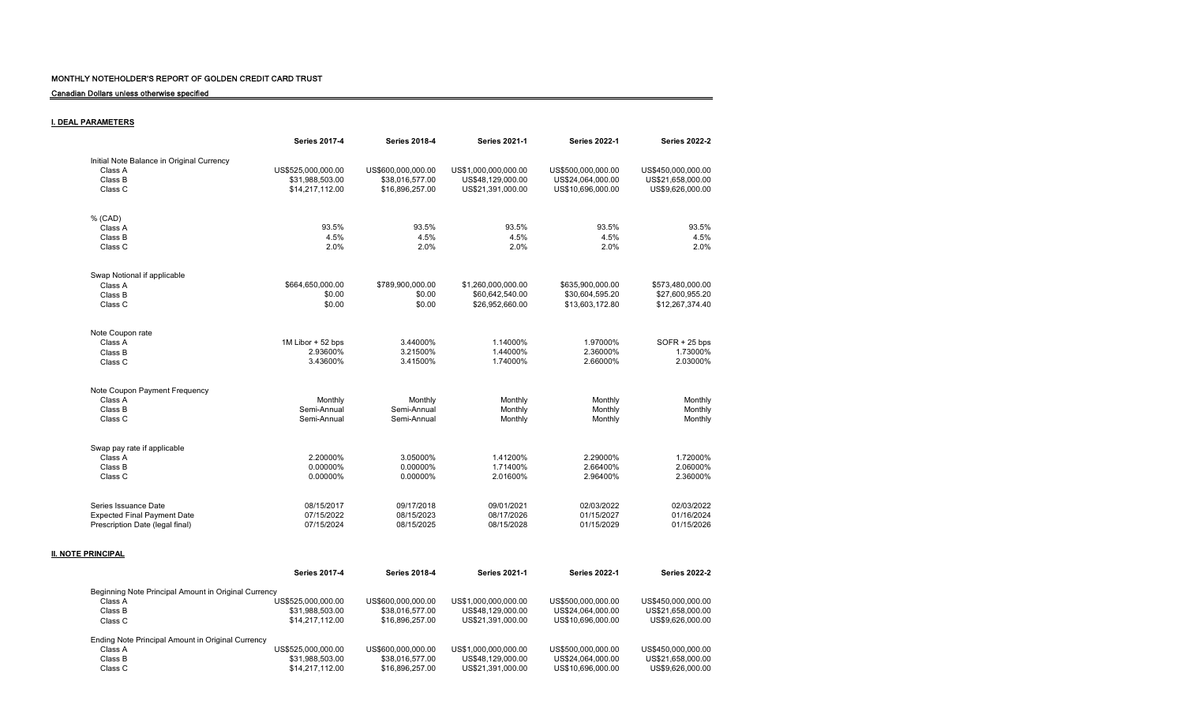Canadian Dollars unless otherwise specified

# I. DEAL PARAMETERS

|                                           | <b>Series 2017-4</b> | <b>Series 2018-4</b> | <b>Series 2021-1</b> | <b>Series 2022-1</b> | <b>Series 2022-2</b> |
|-------------------------------------------|----------------------|----------------------|----------------------|----------------------|----------------------|
| Initial Note Balance in Original Currency |                      |                      |                      |                      |                      |
| Class A                                   | US\$525,000,000.00   | US\$600,000,000.00   | US\$1,000,000,000.00 | US\$500.000.000.00   | US\$450,000,000.00   |
| Class B                                   | \$31,988,503.00      | \$38,016,577.00      | US\$48,129,000.00    | US\$24,064,000.00    | US\$21,658,000.00    |
| Class C                                   | \$14,217,112.00      | \$16,896,257.00      | US\$21,391,000.00    | US\$10,696,000.00    | US\$9,626,000.00     |
|                                           |                      |                      |                      |                      |                      |
| % (CAD)                                   |                      |                      |                      |                      |                      |
| Class A                                   | 93.5%                | 93.5%                | 93.5%                | 93.5%                | 93.5%                |
| Class B                                   | 4.5%                 | 4.5%                 | 4.5%                 | 4.5%                 | 4.5%                 |
| Class C                                   | 2.0%                 | 2.0%                 | 2.0%                 | 2.0%                 | 2.0%                 |
|                                           |                      |                      |                      |                      |                      |
| Swap Notional if applicable               |                      |                      |                      |                      |                      |
| Class A                                   | \$664,650,000.00     | \$789,900,000.00     | \$1,260,000,000.00   | \$635,900,000.00     | \$573,480,000.00     |
| Class B                                   | \$0.00               | \$0.00               | \$60,642,540.00      | \$30,604,595.20      | \$27,600,955.20      |
| Class C                                   | \$0.00               | \$0.00               | \$26,952,660.00      | \$13,603,172.80      | \$12,267,374.40      |
|                                           |                      |                      |                      |                      |                      |
| Note Coupon rate                          |                      |                      |                      |                      |                      |
| Class A                                   | 1M Libor + 52 bps    | 3.44000%             | 1.14000%             | 1.97000%             | $SOFR + 25$ bps      |
| Class B                                   | 2.93600%             | 3.21500%             | 1.44000%             | 2.36000%             | 1.73000%             |
| Class C                                   | 3.43600%             | 3.41500%             | 1.74000%             | 2.66000%             | 2.03000%             |
| Note Coupon Payment Frequency             |                      |                      |                      |                      |                      |
| Class A                                   | Monthly              | Monthly              | Monthly              | Monthly              | Monthly              |
| Class B                                   | Semi-Annual          | Semi-Annual          | Monthly              | Monthly              | Monthly              |
|                                           | Semi-Annual          | Semi-Annual          |                      |                      |                      |
| Class C                                   |                      |                      | Monthly              | Monthly              | Monthly              |
| Swap pay rate if applicable               |                      |                      |                      |                      |                      |
| Class A                                   | 2.20000%             | 3.05000%             | 1.41200%             | 2.29000%             | 1.72000%             |
| Class B                                   | 0.00000%             | 0.00000%             | 1.71400%             | 2.66400%             | 2.06000%             |
| Class C                                   | 0.00000%             | 0.00000%             | 2.01600%             | 2.96400%             | 2.36000%             |
|                                           |                      |                      |                      |                      |                      |
| Series Issuance Date                      | 08/15/2017           | 09/17/2018           | 09/01/2021           | 02/03/2022           | 02/03/2022           |
| <b>Expected Final Payment Date</b>        | 07/15/2022           | 08/15/2023           | 08/17/2026           | 01/15/2027           | 01/16/2024           |
| Prescription Date (legal final)           | 07/15/2024           | 08/15/2025           | 08/15/2028           | 01/15/2029           | 01/15/2026           |
|                                           |                      |                      |                      |                      |                      |

## **II. NOTE PRINCIPAL**

|                                                      | <b>Series 2017-4</b> | <b>Series 2018-4</b> | <b>Series 2021-1</b> | <b>Series 2022-1</b> | <b>Series 2022-2</b> |
|------------------------------------------------------|----------------------|----------------------|----------------------|----------------------|----------------------|
| Beginning Note Principal Amount in Original Currency |                      |                      |                      |                      |                      |
| Class A                                              | US\$525.000.000.00   | US\$600.000.000.00   | US\$1,000,000,000,00 | US\$500,000,000,00   | US\$450,000,000,00   |
| Class B                                              | \$31.988.503.00      | \$38,016,577,00      | US\$48.129.000.00    | US\$24.064.000.00    | US\$21.658.000.00    |
| Class C                                              | \$14.217.112.00      | \$16,896,257,00      | US\$21.391.000.00    | US\$10.696,000.00    | US\$9.626,000.00     |
| Ending Note Principal Amount in Original Currency    |                      |                      |                      |                      |                      |
| Class A                                              | US\$525.000.000.00   | US\$600,000,000,00   | US\$1,000,000,000,00 | US\$500,000,000,00   | US\$450,000,000,00   |
| Class B                                              | \$31.988.503.00      | \$38,016,577,00      | US\$48.129.000.00    | US\$24.064.000.00    | US\$21.658.000.00    |
| Class C                                              | \$14.217.112.00      | \$16,896,257,00      | US\$21.391.000.00    | US\$10.696.000.00    | US\$9.626.000.00     |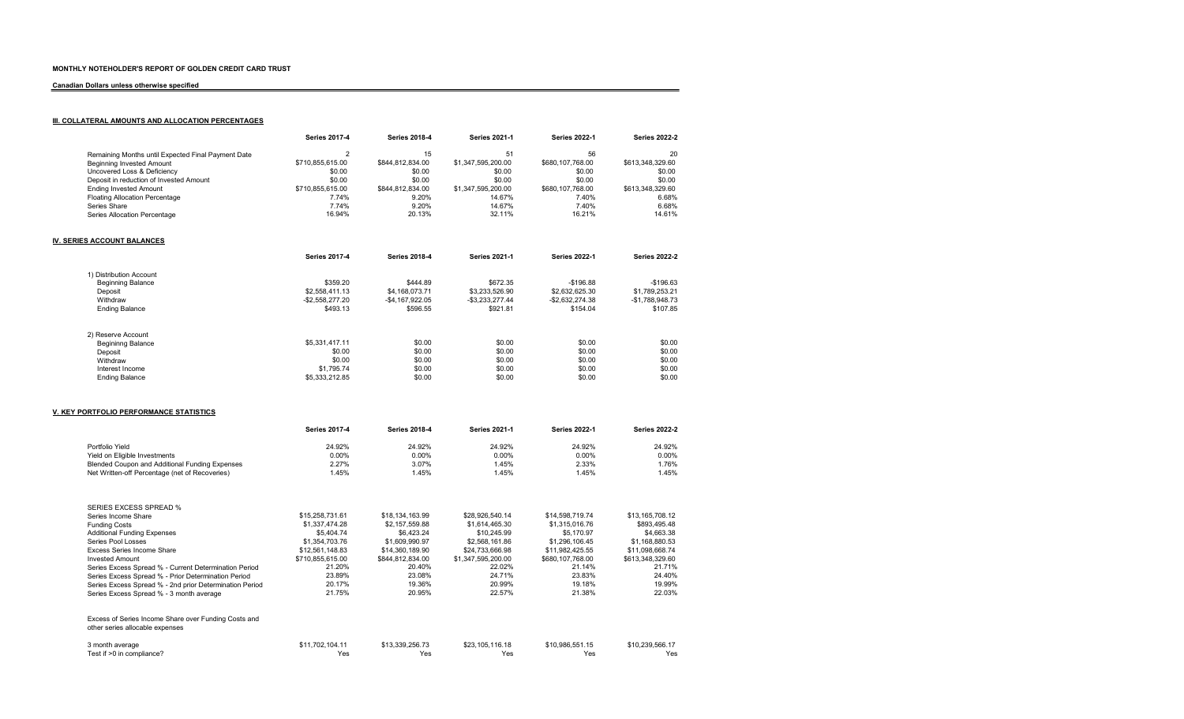### Canadian Dollars unless otherwise specified

# **III. COLLATERAL AMOUNTS AND ALLOCATION PERCENTAGES**

| <b>Series 2017-4</b> | <b>Series 2018-4</b> | <b>Series 2021-1</b> | <b>Series 2022-1</b> | <b>Series 2022-2</b> |
|----------------------|----------------------|----------------------|----------------------|----------------------|
|                      | 15                   | 51                   | 56                   | 20                   |
| \$710.855.615.00     | \$844.812.834.00     | \$1,347,595,200.00   | \$680.107.768.00     | \$613.348.329.60     |
| \$0.00               | \$0.00               | \$0.00               | \$0.00               | \$0.00               |
| \$0.00               | \$0.00               | \$0.00               | \$0.00               | \$0.00               |
| \$710.855.615.00     | \$844.812.834.00     | \$1,347,595,200.00   | \$680.107.768.00     | \$613.348.329.60     |
| 7.74%                | 9.20%                | 14.67%               | 7.40%                | 6.68%                |
| 7.74%                | 9.20%                | 14.67%               | 7.40%                | 6.68%                |
| 16.94%               | 20.13%               | 32.11%               | 16.21%               | 14.61%               |
|                      |                      |                      |                      |                      |

## IV. SERIES ACCOUNT BALANCES

| <b>Series 2017-4</b> | <b>Series 2018-4</b> | <b>Series 2021-1</b> | <b>Series 2022-1</b> | <b>Series 2022-2</b> |
|----------------------|----------------------|----------------------|----------------------|----------------------|
|                      |                      |                      |                      |                      |
| \$359.20             | \$444.89             | \$672.35             | $-$196.88$           | $-$196.63$           |
| \$2,558,411,13       | \$4,168,073,71       | \$3.233.526.90       | \$2,632,625,30       | \$1.789.253.21       |
| $-$ \$2.558.277.20   | $-$4.167.922.05$     | $-$ \$3.233.277.44   | $-$2.632.274.38$     | $-$1.788.948.73$     |
| \$493.13             | \$596.55             | \$921.81             | \$154.04             | \$107.85             |
|                      |                      |                      |                      |                      |
|                      |                      |                      |                      |                      |
| \$5.331.417.11       | \$0.00               | \$0.00               | \$0.00               | \$0.00               |
| \$0.00               | \$0.00               | \$0.00               | \$0.00               | \$0.00               |
| \$0.00               | \$0.00               | \$0.00               | \$0.00               | \$0.00               |
| \$1,795.74           | \$0.00               | \$0.00               | \$0.00               | \$0.00               |
| \$5,333,212.85       | \$0.00               | \$0.00               | \$0.00               | \$0.00               |
|                      |                      |                      |                      |                      |

#### V. KEY PORTFOLIO PERFORMANCE STATISTICS

|                                                                                         | <b>Series 2017-4</b> | <b>Series 2018-4</b> | <b>Series 2021-1</b> | <b>Series 2022-1</b> | <b>Series 2022-2</b> |
|-----------------------------------------------------------------------------------------|----------------------|----------------------|----------------------|----------------------|----------------------|
| Portfolio Yield                                                                         | 24.92%               | 24.92%               | 24.92%               | 24.92%               | 24.92%               |
| Yield on Eligible Investments                                                           | $0.00\%$             | $0.00\%$             | $0.00\%$             | $0.00\%$             | $0.00\%$             |
| Blended Coupon and Additional Funding Expenses                                          | 2.27%                | 3.07%                | 1.45%                | 2.33%                | 1.76%                |
| Net Written-off Percentage (net of Recoveries)                                          | 1.45%                | 1.45%                | 1.45%                | 1.45%                | 1.45%                |
| <b>SERIES EXCESS SPREAD %</b>                                                           |                      |                      |                      |                      |                      |
| Series Income Share                                                                     | \$15,258,731.61      | \$18,134,163.99      | \$28.926.540.14      | \$14,598,719.74      | \$13,165,708.12      |
| <b>Funding Costs</b>                                                                    | \$1,337,474.28       | \$2,157,559.88       | \$1,614,465.30       | \$1,315,016.76       | \$893,495.48         |
| <b>Additional Funding Expenses</b>                                                      | \$5,404.74           | \$6,423.24           | \$10,245.99          | \$5,170.97           | \$4,663.38           |
| Series Pool Losses                                                                      | \$1,354,703.76       | \$1,609,990.97       | \$2,568,161.86       | \$1,296,106.45       | \$1,168,880.53       |
| <b>Excess Series Income Share</b>                                                       | \$12,561,148.83      | \$14,360,189.90      | \$24,733,666.98      | \$11,982,425.55      | \$11,098,668.74      |
| <b>Invested Amount</b>                                                                  | \$710,855,615.00     | \$844,812,834.00     | \$1,347,595,200.00   | \$680,107,768.00     | \$613,348,329.60     |
| Series Excess Spread % - Current Determination Period                                   | 21.20%               | 20.40%               | 22.02%               | 21.14%               | 21.71%               |
| Series Excess Spread % - Prior Determination Period                                     | 23.89%               | 23.08%               | 24.71%               | 23.83%               | 24.40%               |
| Series Excess Spread % - 2nd prior Determination Period                                 | 20.17%               | 19.36%               | 20.99%               | 19.18%               | 19.99%               |
| Series Excess Spread % - 3 month average                                                | 21.75%               | 20.95%               | 22.57%               | 21.38%               | 22.03%               |
| Excess of Series Income Share over Funding Costs and<br>other series allocable expenses |                      |                      |                      |                      |                      |
| 3 month average                                                                         | \$11,702,104.11      | \$13,339,256.73      | \$23,105,116.18      | \$10,986,551.15      | \$10,239,566.17      |
| Test if >0 in compliance?                                                               | Yes                  | Yes                  | Yes                  | Yes                  | Yes                  |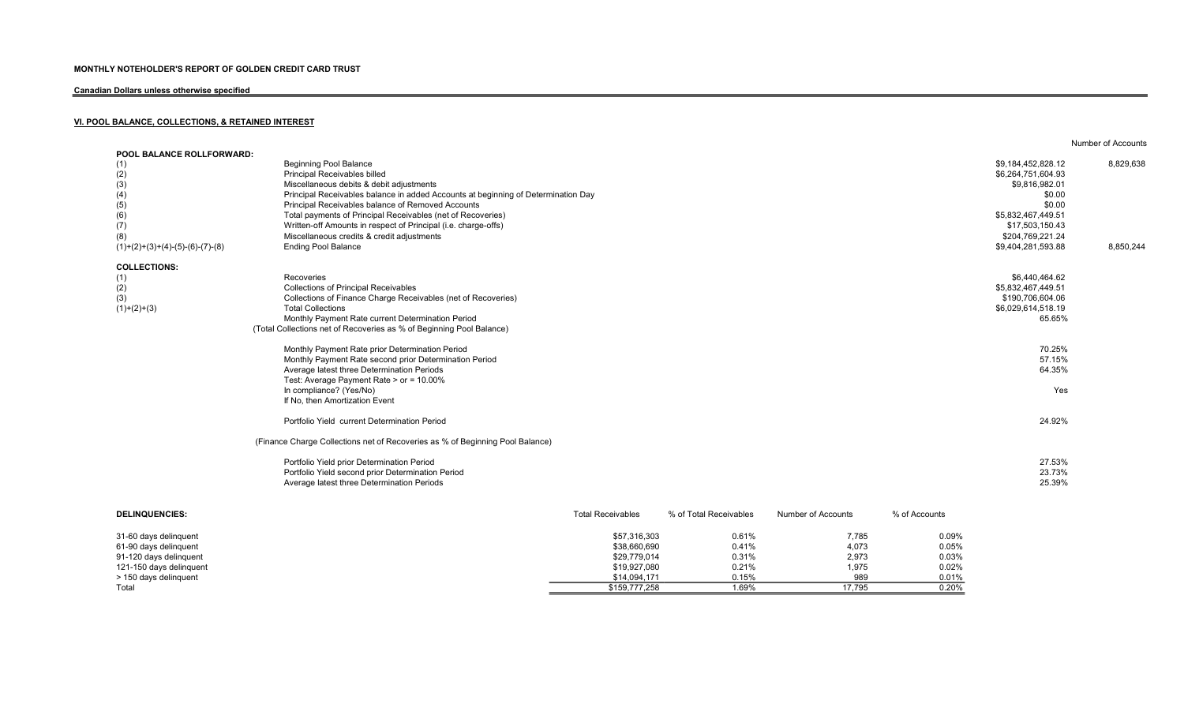# Canadian Dollars unless otherwise specified

# VI. POOL BALANCE, COLLECTIONS, & RETAINED INTEREST

| <b>POOL BALANCE ROLLFORWARD:</b>  |                                                                                   |                          |                        |                    |               |                    |           |
|-----------------------------------|-----------------------------------------------------------------------------------|--------------------------|------------------------|--------------------|---------------|--------------------|-----------|
| (1)                               | <b>Beginning Pool Balance</b>                                                     |                          |                        |                    |               | \$9,184,452,828.12 | 8,829,638 |
| (2)                               | Principal Receivables billed                                                      |                          |                        |                    |               | \$6,264,751,604.93 |           |
| (3)                               | Miscellaneous debits & debit adjustments                                          |                          |                        |                    |               | \$9,816,982.01     |           |
| (4)                               | Principal Receivables balance in added Accounts at beginning of Determination Day |                          |                        |                    |               | \$0.00             |           |
| (5)                               | Principal Receivables balance of Removed Accounts                                 |                          |                        |                    |               | \$0.00             |           |
| (6)                               | Total payments of Principal Receivables (net of Recoveries)                       |                          |                        |                    |               | \$5,832,467,449.51 |           |
| (7)                               | Written-off Amounts in respect of Principal (i.e. charge-offs)                    |                          |                        |                    |               | \$17,503,150.43    |           |
| (8)                               | Miscellaneous credits & credit adjustments                                        |                          |                        |                    |               | \$204,769,221.24   |           |
| $(1)+(2)+(3)+(4)-(5)-(6)-(7)-(8)$ | <b>Ending Pool Balance</b>                                                        |                          |                        |                    |               | \$9,404,281,593.88 | 8,850,244 |
| <b>COLLECTIONS:</b>               |                                                                                   |                          |                        |                    |               |                    |           |
| (1)                               | Recoveries                                                                        |                          |                        |                    |               | \$6,440,464.62     |           |
| (2)                               | <b>Collections of Principal Receivables</b>                                       |                          |                        |                    |               | \$5,832,467,449.51 |           |
| (3)                               | Collections of Finance Charge Receivables (net of Recoveries)                     |                          |                        |                    |               | \$190,706,604.06   |           |
| $(1)+(2)+(3)$                     | <b>Total Collections</b>                                                          |                          |                        |                    |               | \$6,029,614,518.19 |           |
|                                   | Monthly Payment Rate current Determination Period                                 |                          |                        |                    |               | 65.65%             |           |
|                                   | (Total Collections net of Recoveries as % of Beginning Pool Balance)              |                          |                        |                    |               |                    |           |
|                                   | Monthly Payment Rate prior Determination Period                                   |                          |                        |                    |               | 70.25%             |           |
|                                   | Monthly Payment Rate second prior Determination Period                            |                          |                        |                    |               | 57.15%             |           |
|                                   | Average latest three Determination Periods                                        |                          |                        |                    |               | 64.35%             |           |
|                                   | Test: Average Payment Rate > or = 10.00%                                          |                          |                        |                    |               |                    |           |
|                                   | In compliance? (Yes/No)                                                           |                          |                        |                    |               | Yes                |           |
|                                   | If No, then Amortization Event                                                    |                          |                        |                    |               |                    |           |
|                                   |                                                                                   |                          |                        |                    |               |                    |           |
|                                   | Portfolio Yield current Determination Period                                      |                          |                        |                    |               | 24.92%             |           |
|                                   | (Finance Charge Collections net of Recoveries as % of Beginning Pool Balance)     |                          |                        |                    |               |                    |           |
|                                   | Portfolio Yield prior Determination Period                                        |                          |                        |                    |               | 27.53%             |           |
|                                   | Portfolio Yield second prior Determination Period                                 |                          |                        |                    |               | 23.73%             |           |
|                                   | Average latest three Determination Periods                                        |                          |                        |                    |               | 25.39%             |           |
| <b>DELINQUENCIES:</b>             |                                                                                   | <b>Total Receivables</b> | % of Total Receivables | Number of Accounts | % of Accounts |                    |           |
|                                   |                                                                                   |                          |                        |                    |               |                    |           |

Number of Accounts

| 31-60 days delinguent   | \$57,316,303  | 0.61% | 7,785  | 0.09% |
|-------------------------|---------------|-------|--------|-------|
| 61-90 days delinguent   | \$38,660,690  | 0.41% | 4,073  | 0.05% |
| 91-120 days delinguent  | \$29,779,014  | 0.31% | 2,973  | 0.03% |
| 121-150 days delinquent | \$19,927,080  | 0.21% | 1,975  | 0.02% |
| > 150 days delinguent   | \$14.094.171  | 0.15% | 989    | 0.01% |
| Total                   | \$159,777,258 | 1.69% | 17.795 | 0.20% |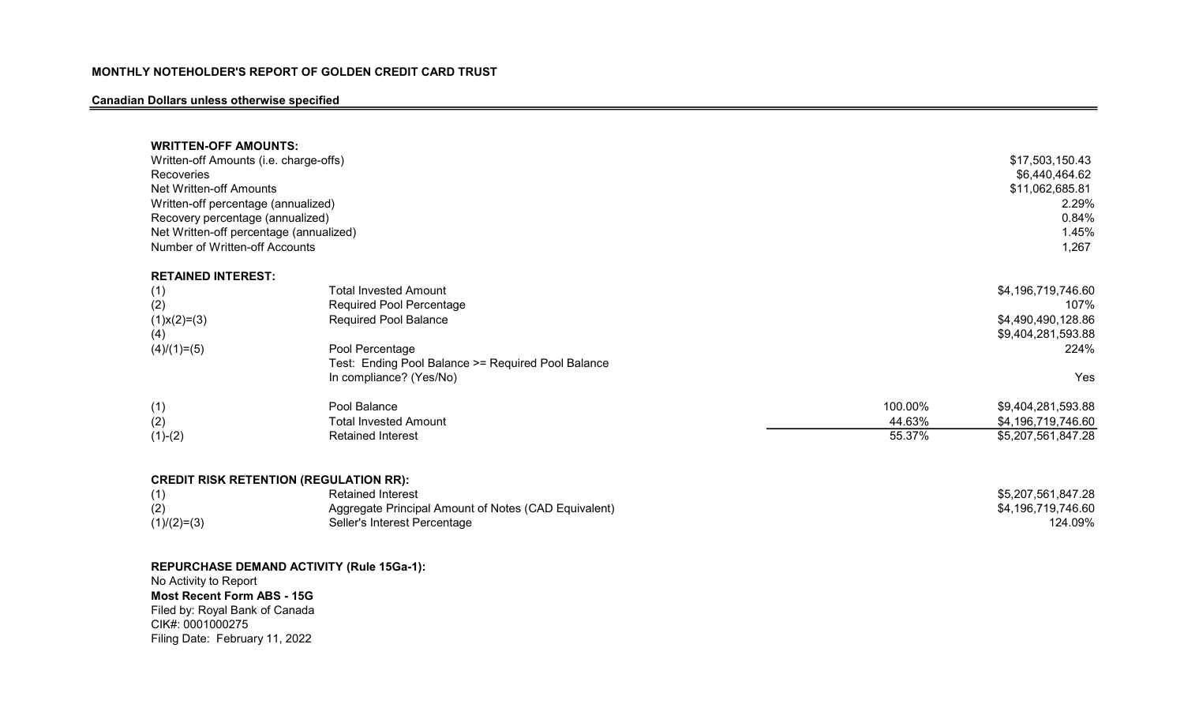# Canadian Dollars unless otherwise specified

| <b>WRITTEN-OFF AMOUNTS:</b><br>Written-off Amounts (i.e. charge-offs)<br>Recoveries<br>Net Written-off Amounts<br>Written-off percentage (annualized)<br>Recovery percentage (annualized)<br>Net Written-off percentage (annualized)<br>Number of Written-off Accounts |                                                                                                                                                                                              |         | \$17,503,150.43<br>\$6,440,464.62<br>\$11,062,685.81<br>2.29%<br>0.84%<br>1.45%<br>1,267 |
|------------------------------------------------------------------------------------------------------------------------------------------------------------------------------------------------------------------------------------------------------------------------|----------------------------------------------------------------------------------------------------------------------------------------------------------------------------------------------|---------|------------------------------------------------------------------------------------------|
| <b>RETAINED INTEREST:</b>                                                                                                                                                                                                                                              |                                                                                                                                                                                              |         |                                                                                          |
| (1)<br>(2)<br>$(1)$ x $(2)$ = $(3)$<br>(4)<br>$(4)/(1)=(5)$                                                                                                                                                                                                            | <b>Total Invested Amount</b><br>Required Pool Percentage<br><b>Required Pool Balance</b><br>Pool Percentage<br>Test: Ending Pool Balance >= Required Pool Balance<br>In compliance? (Yes/No) |         | \$4,196,719,746.60<br>107%<br>\$4,490,490,128.86<br>\$9,404,281,593.88<br>224%<br>Yes    |
| (1)                                                                                                                                                                                                                                                                    | Pool Balance                                                                                                                                                                                 | 100.00% | \$9,404,281,593.88                                                                       |
| (2)                                                                                                                                                                                                                                                                    | <b>Total Invested Amount</b>                                                                                                                                                                 | 44.63%  | \$4,196,719,746.60                                                                       |
| $(1)-(2)$                                                                                                                                                                                                                                                              | <b>Retained Interest</b>                                                                                                                                                                     | 55.37%  | \$5,207,561,847.28                                                                       |
| <b>CREDIT RISK RETENTION (REGULATION RR):</b><br>(1)<br>(2)<br>$(1)/(2)=(3)$                                                                                                                                                                                           | <b>Retained Interest</b><br>Aggregate Principal Amount of Notes (CAD Equivalent)<br>Seller's Interest Percentage                                                                             |         | \$5,207,561,847.28<br>\$4,196,719,746.60<br>124.09%                                      |

REPURCHASE DEMAND ACTIVITY (Rule 15Ga-1): No Activity to Report

Most Recent Form ABS - 15G Filed by: Royal Bank of Canada CIK#: 0001000275 Filing Date: February 11, 2022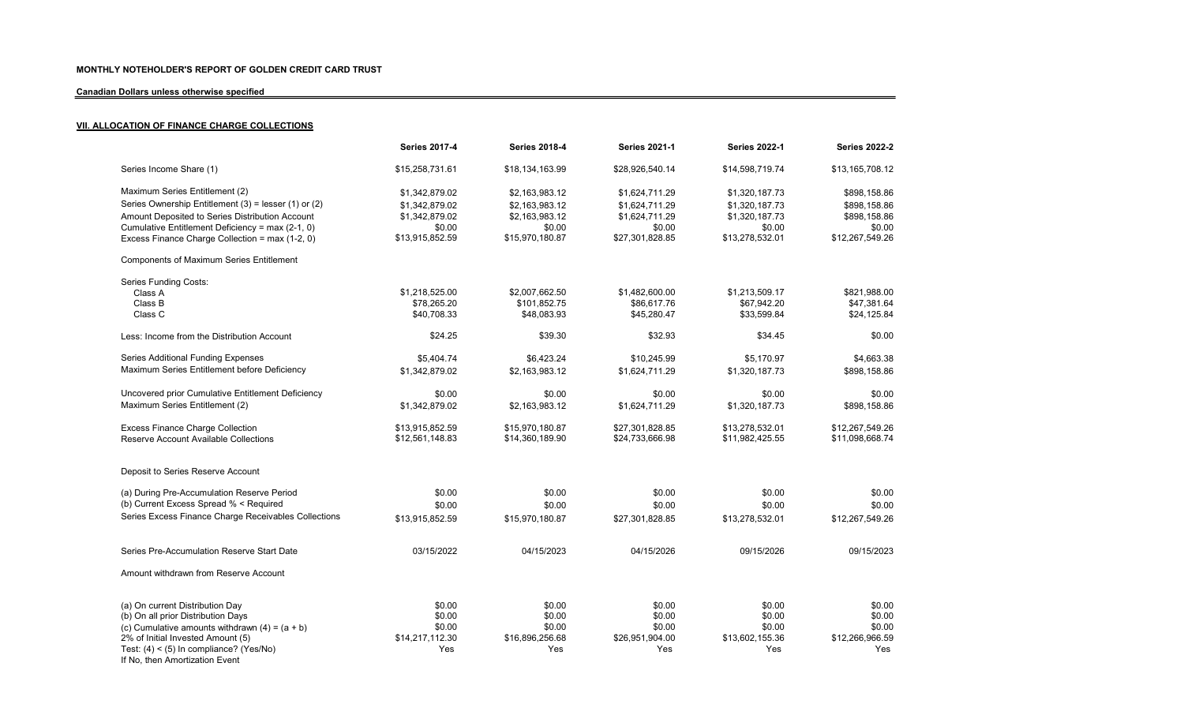# Canadian Dollars unless otherwise specified

# **VII. ALLOCATION OF FINANCE CHARGE COLLECTIONS**

|                                                      | <b>Series 2017-4</b> | <b>Series 2018-4</b> | <b>Series 2021-1</b> | <b>Series 2022-1</b> | <b>Series 2022-2</b> |
|------------------------------------------------------|----------------------|----------------------|----------------------|----------------------|----------------------|
| Series Income Share (1)                              | \$15,258,731.61      | \$18,134,163.99      | \$28,926,540.14      | \$14,598,719.74      | \$13,165,708.12      |
| Maximum Series Entitlement (2)                       | \$1,342,879.02       | \$2,163,983.12       | \$1,624,711.29       | \$1,320,187.73       | \$898,158.86         |
| Series Ownership Entitlement (3) = lesser (1) or (2) | \$1,342,879.02       | \$2,163,983.12       | \$1,624,711.29       | \$1,320,187.73       | \$898,158.86         |
| Amount Deposited to Series Distribution Account      | \$1,342,879.02       | \$2,163,983.12       | \$1,624,711.29       | \$1,320,187.73       | \$898,158.86         |
| Cumulative Entitlement Deficiency = max (2-1, 0)     | \$0.00               | \$0.00               | \$0.00               | \$0.00               | \$0.00               |
| Excess Finance Charge Collection = max (1-2, 0)      | \$13,915,852.59      | \$15,970,180.87      | \$27,301,828.85      | \$13,278,532.01      | \$12,267,549.26      |
| <b>Components of Maximum Series Entitlement</b>      |                      |                      |                      |                      |                      |
| Series Funding Costs:                                |                      |                      |                      |                      |                      |
| Class A                                              | \$1,218,525.00       | \$2,007,662.50       | \$1,482,600.00       | \$1,213,509.17       | \$821,988.00         |
| Class B                                              | \$78,265.20          | \$101,852.75         | \$86,617.76          | \$67,942.20          | \$47,381.64          |
| Class C                                              | \$40,708.33          | \$48,083.93          | \$45,280.47          | \$33,599.84          | \$24,125.84          |
| Less: Income from the Distribution Account           | \$24.25              | \$39.30              | \$32.93              | \$34.45              | \$0.00               |
| Series Additional Funding Expenses                   | \$5.404.74           | \$6,423.24           | \$10,245.99          | \$5.170.97           | \$4,663.38           |
| Maximum Series Entitlement before Deficiency         | \$1,342,879.02       | \$2,163,983.12       | \$1,624,711.29       | \$1,320,187.73       | \$898,158.86         |
| Uncovered prior Cumulative Entitlement Deficiency    | \$0.00               | \$0.00               | \$0.00               | \$0.00               | \$0.00               |
| Maximum Series Entitlement (2)                       | \$1.342.879.02       | \$2,163,983.12       | \$1,624,711.29       | \$1.320.187.73       | \$898,158.86         |
| <b>Excess Finance Charge Collection</b>              | \$13,915,852.59      | \$15,970,180.87      | \$27,301,828.85      | \$13,278,532.01      | \$12,267,549.26      |
| Reserve Account Available Collections                | \$12,561,148.83      | \$14,360,189.90      | \$24,733,666.98      | \$11,982,425.55      | \$11,098,668.74      |
| Deposit to Series Reserve Account                    |                      |                      |                      |                      |                      |
| (a) During Pre-Accumulation Reserve Period           | \$0.00               | \$0.00               | \$0.00               | \$0.00               | \$0.00               |
| (b) Current Excess Spread % < Required               | \$0.00               | \$0.00               | \$0.00               | \$0.00               | \$0.00               |
| Series Excess Finance Charge Receivables Collections |                      |                      |                      |                      |                      |
|                                                      | \$13,915,852.59      | \$15,970,180.87      | \$27,301,828.85      | \$13,278,532.01      | \$12,267,549.26      |
| Series Pre-Accumulation Reserve Start Date           | 03/15/2022           | 04/15/2023           | 04/15/2026           | 09/15/2026           | 09/15/2023           |
| Amount withdrawn from Reserve Account                |                      |                      |                      |                      |                      |
| (a) On current Distribution Day                      | \$0.00               | \$0.00               | \$0.00               | \$0.00               | \$0.00               |
| (b) On all prior Distribution Days                   | \$0.00               | \$0.00               | \$0.00               | \$0.00               | \$0.00               |
| (c) Cumulative amounts withdrawn $(4) = (a + b)$     | \$0.00               | \$0.00               | \$0.00               | \$0.00               | \$0.00               |
| 2% of Initial Invested Amount (5)                    | \$14,217,112.30      | \$16,896,256.68      | \$26,951,904.00      | \$13,602,155.36      | \$12,266,966.59      |
| Test: $(4) < (5)$ In compliance? (Yes/No)            | Yes                  | Yes                  | Yes                  | Yes                  | Yes                  |
| If No, then Amortization Event                       |                      |                      |                      |                      |                      |